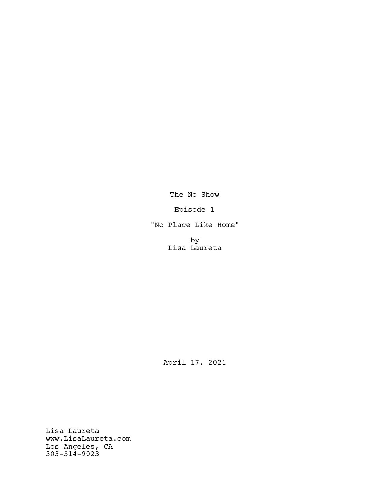The No Show

Episode 1

"No Place Like Home"

by Lisa Laureta

April 17, 2021

Lisa Laureta www.LisaLaureta.com Los Angeles, CA 303-514-9023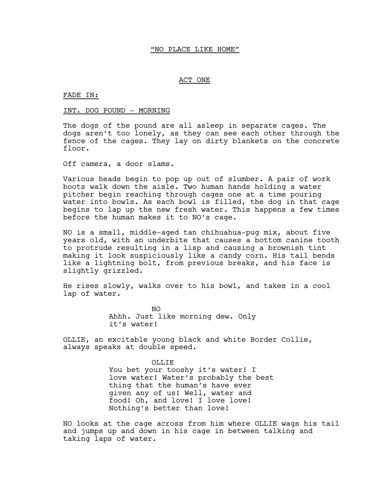### "NO PLACE LIKE HOME"

### ACT ONE

FADE IN:

#### INT. DOG POUND - MORNING

The dogs of the pound are all asleep in separate cages. The dogs aren't too lonely, as they can see each other through the fence of the cages. They lay on dirty blankets on the concrete floor.

Off camera, a door slams.

Various heads begin to pop up out of slumber. A pair of work boots walk down the aisle. Two human hands holding a water pitcher begin reaching through cages one at a time pouring water into bowls. As each bowl is filled, the dog in that cage begins to lap up the new fresh water. This happens a few times before the human makes it to NO's cage.

NO is a small, middle-aged tan chihuahua-pug mix, about five years old, with an underbite that causes a bottom canine tooth to protrude resulting in a lisp and causing a brownish tint making it look suspiciously like a candy corn. His tail bends like a lightning bolt, from previous breaks, and his face is slightly grizzled.

He rises slowly, walks over to his bowl, and takes in a cool lap of water.

> NO Ahhh. Just like morning dew. Only it's water!

OLLIE, an excitable young black and white Border Collie, always speaks at double speed.

> OLLIE You bet your tooshy it's water! I love water! Water's probably the best thing that the human's have ever given any of us! Well, water and food! Oh, and love! I love love! Nothing's better than love!

NO looks at the cage across from him where OLLIE wags his tail and jumps up and down in his cage in between talking and taking laps of water.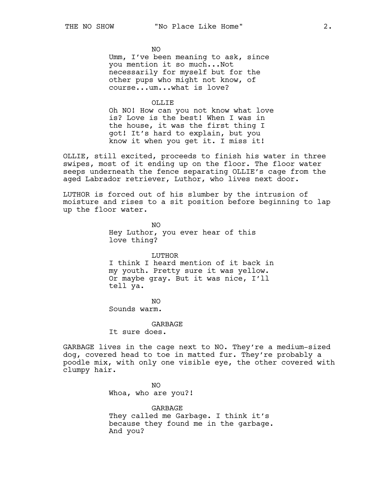NO

Umm, I've been meaning to ask, since you mention it so much...Not necessarily for myself but for the other pups who might not know, of course...um...what is love?

#### OLLIE

Oh NO! How can you not know what love is? Love is the best! When I was in the house, it was the first thing I got! It's hard to explain, but you know it when you get it. I miss it!

OLLIE, still excited, proceeds to finish his water in three swipes, most of it ending up on the floor. The floor water seeps underneath the fence separating OLLIE's cage from the aged Labrador retriever, Luthor, who lives next door.

LUTHOR is forced out of his slumber by the intrusion of moisture and rises to a sit position before beginning to lap up the floor water.

> NO Hey Luthor, you ever hear of this love thing?

LUTHOR I think I heard mention of it back in my youth. Pretty sure it was yellow. Or maybe gray. But it was nice, I'll tell ya.

 $N<sub>O</sub>$ Sounds warm.

GARBAGE

It sure does.

GARBAGE lives in the cage next to NO. They're a medium-sized dog, covered head to toe in matted fur. They're probably a poodle mix, with only one visible eye, the other covered with clumpy hair.

> NO Whoa, who are you?!

GARBAGE They called me Garbage. I think it's because they found me in the garbage. And you?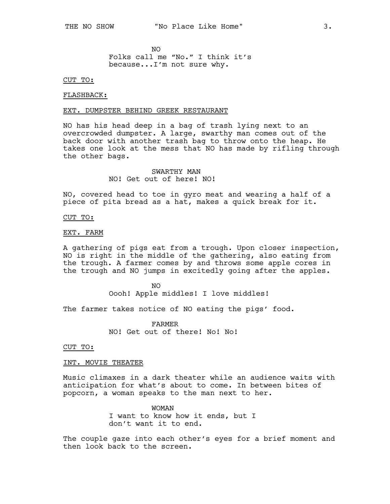NO Folks call me "No." I think it's because...I'm not sure why.

CUT TO:

### FLASHBACK:

#### EXT. DUMPSTER BEHIND GREEK RESTAURANT

NO has his head deep in a bag of trash lying next to an overcrowded dumpster. A large, swarthy man comes out of the back door with another trash bag to throw onto the heap. He takes one look at the mess that NO has made by rifling through the other bags.

> SWARTHY MAN NO! Get out of here! NO!

NO, covered head to toe in gyro meat and wearing a half of a piece of pita bread as a hat, makes a quick break for it.

CUT TO:

### EXT. FARM

A gathering of pigs eat from a trough. Upon closer inspection, NO is right in the middle of the gathering, also eating from the trough. A farmer comes by and throws some apple cores in the trough and NO jumps in excitedly going after the apples.

> $N<sub>O</sub>$ Oooh! Apple middles! I love middles!

The farmer takes notice of NO eating the pigs' food.

FARMER NO! Get out of there! No! No!

CUT TO:

#### INT. MOVIE THEATER

Music climaxes in a dark theater while an audience waits with anticipation for what's about to come. In between bites of popcorn, a woman speaks to the man next to her.

> WOMAN I want to know how it ends, but I don't want it to end.

The couple gaze into each other's eyes for a brief moment and then look back to the screen.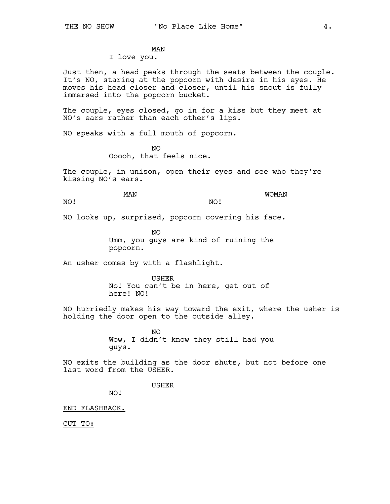MAN

# I love you.

Just then, a head peaks through the seats between the couple. It's NO, staring at the popcorn with desire in his eyes. He moves his head closer and closer, until his snout is fully immersed into the popcorn bucket.

The couple, eyes closed, go in for a kiss but they meet at NO's ears rather than each other's lips.

NO speaks with a full mouth of popcorn.

 $N<sub>O</sub>$ Ooooh, that feels nice.

The couple, in unison, open their eyes and see who they're kissing NO's ears.

MAN

WOMAN

NO!

NO!

NO looks up, surprised, popcorn covering his face.

NO Umm, you guys are kind of ruining the popcorn.

An usher comes by with a flashlight.

USHER

No! You can't be in here, get out of here! NO!

NO hurriedly makes his way toward the exit, where the usher is holding the door open to the outside alley.

> $N<sub>O</sub>$ Wow, I didn't know they still had you guys.

NO exits the building as the door shuts, but not before one last word from the USHER.

USHER

NO!

END FLASHBACK.

CUT TO: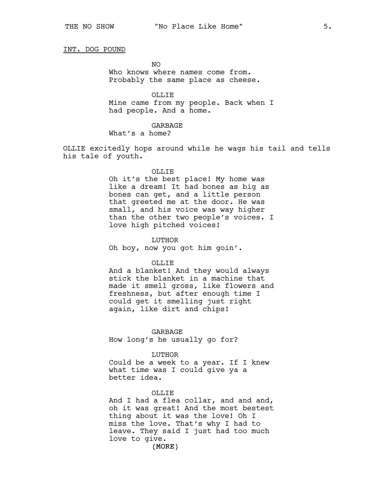# INT. DOG POUND

NO Who knows where names come from. Probably the same place as cheese.

OLLIE Mine came from my people. Back when I had people. And a home.

GARBAGE What's a home?

OLLIE excitedly hops around while he wags his tail and tells his tale of youth.

### OLLIE

Oh it's the best place! My home was like a dream! It had bones as big as bones can get, and a little person that greeted me at the door. He was small, and his voice was way higher than the other two people's voices. I love high pitched voices!

LUTHOR

Oh boy, now you got him goin'.

#### OLLIE

And a blanket! And they would always stick the blanket in a machine that made it smell gross, like flowers and freshness, but after enough time I could get it smelling just right again, like dirt and chips!

GARBAGE How long's he usually go for?

#### LUTHOR

Could be a week to a year. If I knew what time was I could give ya a better idea.

### OLLIE

And I had a flea collar, and and and, oh it was great! And the most bestest thing about it was the love! Oh I miss the love. That's why I had to leave. They said I just had too much love to give.

(MORE)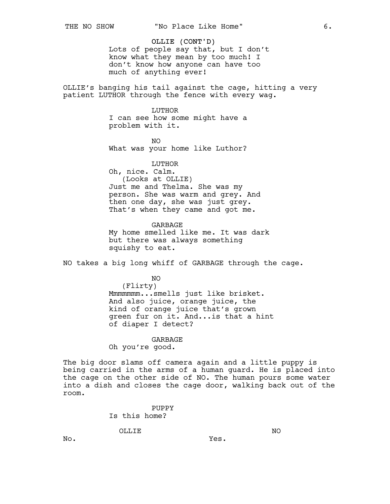# OLLIE (CONT'D)

Lots of people say that, but I don't know what they mean by too much! I don't know how anyone can have too much of anything ever!

OLLIE's banging his tail against the cage, hitting a very patient LUTHOR through the fence with every wag.

# LUTHOR

I can see how some might have a problem with it.

NO What was your home like Luthor?

### LUTHOR

Oh, nice. Calm. (Looks at OLLIE) Just me and Thelma. She was my person. She was warm and grey. And then one day, she was just grey. That's when they came and got me.

GARBAGE My home smelled like me. It was dark but there was always something squishy to eat.

NO takes a big long whiff of GARBAGE through the cage.

NO (Flirty) Mmmmmmm...smells just like brisket. And also juice, orange juice, the kind of orange juice that's grown green fur on it. And...is that a hint of diaper I detect?

GARBAGE Oh you're good.

The big door slams off camera again and a little puppy is being carried in the arms of a human guard. He is placed into the cage on the other side of NO. The human pours some water into a dish and closes the cage door, walking back out of the room.

Yes.

PUPPY Is this home?

OLLIE

NO

No.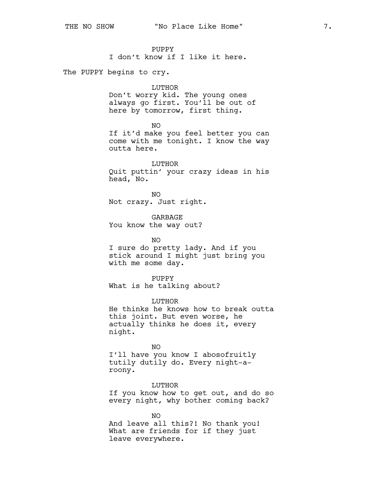PUPPY

I don't know if I like it here.

The PUPPY begins to cry.

# LUTHOR

Don't worry kid. The young ones always go first. You'll be out of here by tomorrow, first thing.

NO

If it'd make you feel better you can come with me tonight. I know the way outta here.

LUTHOR Quit puttin' your crazy ideas in his head, No.

NO Not crazy. Just right.

GARBAGE You know the way out?

with me some day.

NO I sure do pretty lady. And if you stick around I might just bring you

PUPPY What is he talking about?

LUTHOR

He thinks he knows how to break outta this joint. But even worse, he actually thinks he does it, every night.

NO

I'll have you know I abosofruitly tutily dutily do. Every night-aroony.

LUTHOR

If you know how to get out, and do so every night, why bother coming back?

NO And leave all this?! No thank you! What are friends for if they just leave everywhere.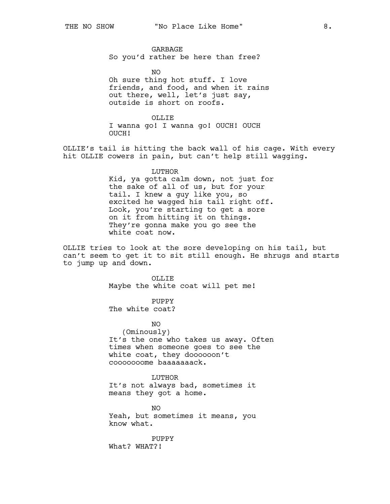GARBAGE So you'd rather be here than free?

NO Oh sure thing hot stuff. I love friends, and food, and when it rains out there, well, let's just say, outside is short on roofs.

OLLIF. I wanna go! I wanna go! OUCH! OUCH OUCH!

OLLIE's tail is hitting the back wall of his cage. With every hit OLLIE cowers in pain, but can't help still wagging.

# LUTHOR

Kid, ya gotta calm down, not just for the sake of all of us, but for your tail. I knew a guy like you, so excited he wagged his tail right off. Look, you're starting to get a sore on it from hitting it on things. They're gonna make you go see the white coat now.

OLLIE tries to look at the sore developing on his tail, but can't seem to get it to sit still enough. He shrugs and starts to jump up and down.

> OLLIE Maybe the white coat will pet me!

PUPPY The white coat?

NO (Ominously) It's the one who takes us away. Often times when someone goes to see the white coat, they doooooon't cooooooome baaaaaaack.

LUTHOR It's not always bad, sometimes it means they got a home.

NO Yeah, but sometimes it means, you know what.

PUPPY What? WHAT?!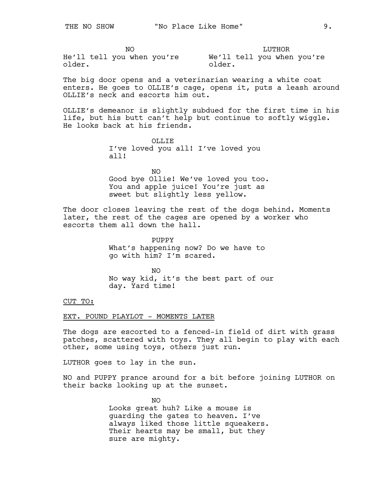NO He'll tell you when you're We'll tell you when you're older.

LUTHOR older.

The big door opens and a veterinarian wearing a white coat enters. He goes to OLLIE's cage, opens it, puts a leash around OLLIE's neck and escorts him out.

OLLIE's demeanor is slightly subdued for the first time in his life, but his butt can't help but continue to softly wiggle. He looks back at his friends.

> OLLIE I've loved you all! I've loved you all!

NO Good bye Ollie! We've loved you too. You and apple juice! You're just as sweet but slightly less yellow.

The door closes leaving the rest of the dogs behind. Moments later, the rest of the cages are opened by a worker who escorts them all down the hall.

> PUPPY What's happening now? Do we have to go with him? I'm scared.

NO No way kid, it's the best part of our day. Yard time!

CUT TO:

# EXT. POUND PLAYLOT - MOMENTS LATER

The dogs are escorted to a fenced-in field of dirt with grass patches, scattered with toys. They all begin to play with each other, some using toys, others just run.

LUTHOR goes to lay in the sun.

NO and PUPPY prance around for a bit before joining LUTHOR on their backs looking up at the sunset.

> NO Looks great huh? Like a mouse is guarding the gates to heaven. I've always liked those little squeakers. Their hearts may be small, but they sure are mighty.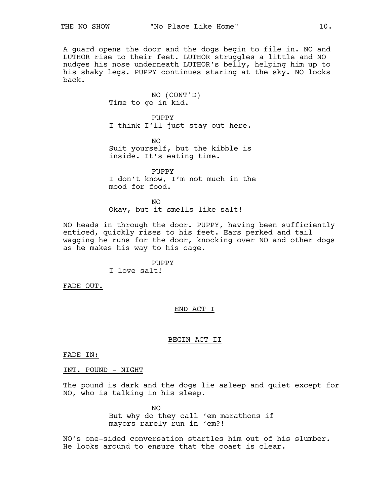A guard opens the door and the dogs begin to file in. NO and LUTHOR rise to their feet. LUTHOR struggles a little and NO nudges his nose underneath LUTHOR's belly, helping him up to his shaky legs. PUPPY continues staring at the sky. NO looks back.

> NO (CONT'D) Time to go in kid.

PUPPY I think I'll just stay out here.

NO Suit yourself, but the kibble is inside. It's eating time.

PUPPY I don't know, I'm not much in the mood for food.

NO Okay, but it smells like salt!

NO heads in through the door. PUPPY, having been sufficiently enticed, quickly rises to his feet. Ears perked and tail wagging he runs for the door, knocking over NO and other dogs as he makes his way to his cage.

> PUPPY I love salt!

FADE OUT.

END ACT I

# BEGIN ACT II

FADE IN:

INT. POUND - NIGHT

The pound is dark and the dogs lie asleep and quiet except for NO, who is talking in his sleep.

> NO But why do they call 'em marathons if mayors rarely run in 'em?!

NO's one-sided conversation startles him out of his slumber. He looks around to ensure that the coast is clear.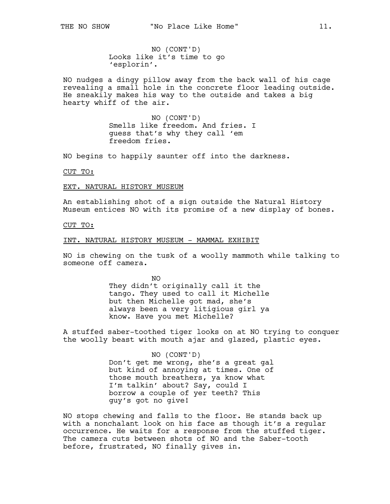NO (CONT'D) Looks like it's time to go 'esplorin'.

NO nudges a dingy pillow away from the back wall of his cage revealing a small hole in the concrete floor leading outside. He sneakily makes his way to the outside and takes a big hearty whiff of the air.

> NO (CONT'D) Smells like freedom. And fries. I guess that's why they call 'em freedom fries.

NO begins to happily saunter off into the darkness.

CUT TO:

EXT. NATURAL HISTORY MUSEUM

An establishing shot of a sign outside the Natural History Museum entices NO with its promise of a new display of bones.

### CUT TO:

### INT. NATURAL HISTORY MUSEUM - MAMMAL EXHIBIT

NO is chewing on the tusk of a woolly mammoth while talking to someone off camera.

> NO They didn't originally call it the tango. They used to call it Michelle but then Michelle got mad, she's always been a very litigious girl ya know. Have you met Michelle?

A stuffed saber-toothed tiger looks on at NO trying to conquer the woolly beast with mouth ajar and glazed, plastic eyes.

### NO (CONT'D)

Don't get me wrong, she's a great gal but kind of annoying at times. One of those mouth breathers, ya know what I'm talkin' about? Say, could I borrow a couple of yer teeth? This guy's got no give!

NO stops chewing and falls to the floor. He stands back up with a nonchalant look on his face as though it's a regular occurrence. He waits for a response from the stuffed tiger. The camera cuts between shots of NO and the Saber-tooth before, frustrated, NO finally gives in.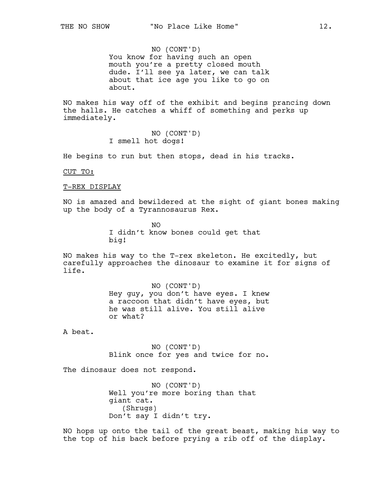NO (CONT'D) You know for having such an open mouth you're a pretty closed mouth dude. I'll see ya later, we can talk about that ice age you like to go on about.

NO makes his way off of the exhibit and begins prancing down the halls. He catches a whiff of something and perks up immediately.

> NO (CONT'D) I smell hot dogs!

He begins to run but then stops, dead in his tracks.

CUT TO:

T-REX DISPLAY

NO is amazed and bewildered at the sight of giant bones making up the body of a Tyrannosaurus Rex.

> NO I didn't know bones could get that big!

NO makes his way to the T-rex skeleton. He excitedly, but carefully approaches the dinosaur to examine it for signs of life.

> NO (CONT'D) Hey guy, you don't have eyes. I knew a raccoon that didn't have eyes, but he was still alive. You still alive or what?

A beat.

NO (CONT'D) Blink once for yes and twice for no.

The dinosaur does not respond.

NO (CONT'D) Well you're more boring than that giant cat. (Shrugs) Don't say I didn't try.

NO hops up onto the tail of the great beast, making his way to the top of his back before prying a rib off of the display.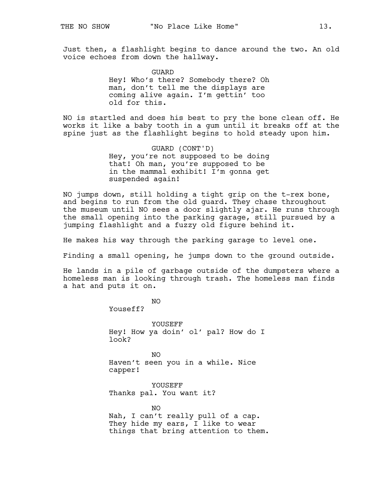Just then, a flashlight begins to dance around the two. An old voice echoes from down the hallway.

> GUARD Hey! Who's there? Somebody there? Oh man, don't tell me the displays are coming alive again. I'm gettin' too old for this.

NO is startled and does his best to pry the bone clean off. He works it like a baby tooth in a gum until it breaks off at the spine just as the flashlight begins to hold steady upon him.

> GUARD (CONT'D) Hey, you're not supposed to be doing that! Oh man, you're supposed to be in the mammal exhibit! I'm gonna get suspended again!

NO jumps down, still holding a tight grip on the t-rex bone, and begins to run from the old guard. They chase throughout the museum until NO sees a door slightly ajar. He runs through the small opening into the parking garage, still pursued by a jumping flashlight and a fuzzy old figure behind it.

He makes his way through the parking garage to level one.

Finding a small opening, he jumps down to the ground outside.

He lands in a pile of garbage outside of the dumpsters where a homeless man is looking through trash. The homeless man finds a hat and puts it on.

NO

Youseff?

YOUSEFF Hey! How ya doin' ol' pal? How do I look?

NO Haven't seen you in a while. Nice capper!

YOUSEFF Thanks pal. You want it?

NO Nah, I can't really pull of a cap. They hide my ears, I like to wear things that bring attention to them.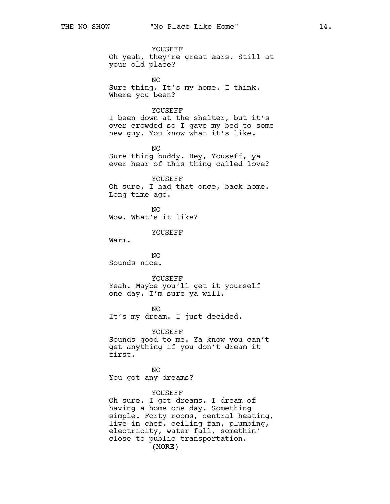YOUSEFF Oh yeah, they're great ears. Still at your old place?

NO Sure thing. It's my home. I think. Where you been?

# YOUSEFF

I been down at the shelter, but it's over crowded so I gave my bed to some new guy. You know what it's like.

NO Sure thing buddy. Hey, Youseff, ya ever hear of this thing called love?

YOUSEFF Oh sure, I had that once, back home. Long time ago.

NO Wow. What's it like?

YOUSEFF

Warm.

NO Sounds nice.

#### YOUSEFF

Yeah. Maybe you'll get it yourself one day. I'm sure ya will.

NO It's my dream. I just decided.

YOUSEFF Sounds good to me. Ya know you can't get anything if you don't dream it first.

NO You got any dreams?

# YOUSEFF

(MORE) Oh sure. I got dreams. I dream of having a home one day. Something simple. Forty rooms, central heating, live-in chef, ceiling fan, plumbing, electricity, water fall, somethin' close to public transportation.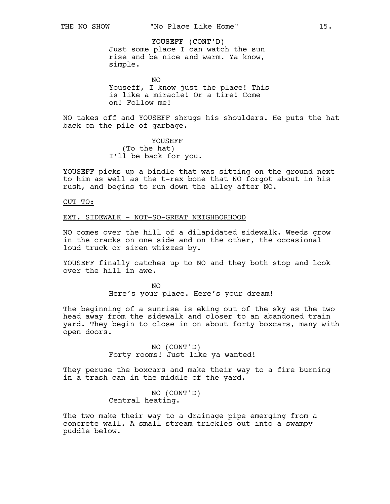YOUSEFF (CONT'D) Just some place I can watch the sun rise and be nice and warm. Ya know, simple.

NO Youseff, I know just the place! This is like a miracle! Or a tire! Come on! Follow me!

NO takes off and YOUSEFF shrugs his shoulders. He puts the hat back on the pile of garbage.

> YOUSEFF (To the hat) I'll be back for you.

YOUSEFF picks up a bindle that was sitting on the ground next to him as well as the t-rex bone that NO forgot about in his rush, and begins to run down the alley after NO.

### CUT TO:

### EXT. SIDEWALK - NOT-SO-GREAT NEIGHBORHOOD

NO comes over the hill of a dilapidated sidewalk. Weeds grow in the cracks on one side and on the other, the occasional loud truck or siren whizzes by.

YOUSEFF finally catches up to NO and they both stop and look over the hill in awe.

> NO Here's your place. Here's your dream!

The beginning of a sunrise is eking out of the sky as the two head away from the sidewalk and closer to an abandoned train yard. They begin to close in on about forty boxcars, many with open doors.

> NO (CONT'D) Forty rooms! Just like ya wanted!

They peruse the boxcars and make their way to a fire burning in a trash can in the middle of the yard.

> NO (CONT'D) Central heating.

The two make their way to a drainage pipe emerging from a concrete wall. A small stream trickles out into a swampy puddle below.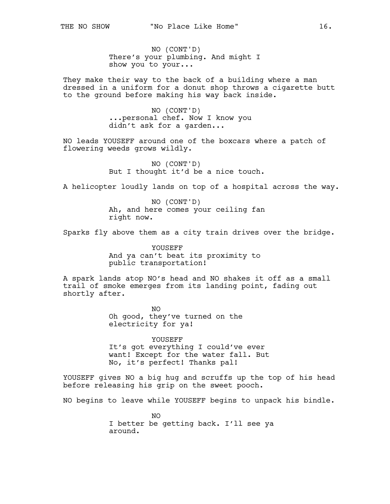NO (CONT'D) There's your plumbing. And might I show you to your...

They make their way to the back of a building where a man dressed in a uniform for a donut shop throws a cigarette butt to the ground before making his way back inside.

> NO (CONT'D) ...personal chef. Now I know you didn't ask for a garden...

NO leads YOUSEFF around one of the boxcars where a patch of flowering weeds grows wildly.

> NO (CONT'D) But I thought it'd be a nice touch.

A helicopter loudly lands on top of a hospital across the way.

NO (CONT'D) Ah, and here comes your ceiling fan right now.

Sparks fly above them as a city train drives over the bridge.

YOUSEFF And ya can't beat its proximity to public transportation!

A spark lands atop NO's head and NO shakes it off as a small trail of smoke emerges from its landing point, fading out shortly after.

> NO Oh good, they've turned on the electricity for ya!

YOUSEFF It's got everything I could've ever want! Except for the water fall. But No, it's perfect! Thanks pal!

YOUSEFF gives NO a big hug and scruffs up the top of his head before releasing his grip on the sweet pooch.

NO begins to leave while YOUSEFF begins to unpack his bindle.

 $N<sub>O</sub>$ I better be getting back. I'll see ya around.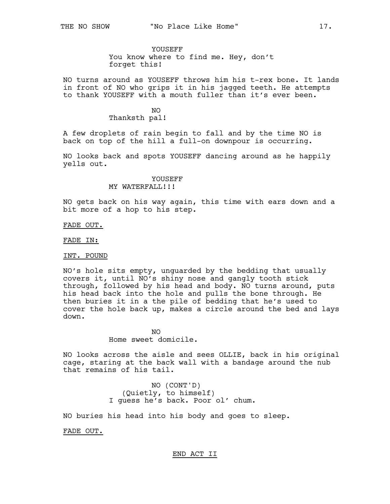YOUSEFF

You know where to find me. Hey, don't forget this!

NO turns around as YOUSEFF throws him his t-rex bone. It lands in front of NO who grips it in his jagged teeth. He attempts to thank YOUSEFF with a mouth fuller than it's ever been.

> NO Thanksth pal!

A few droplets of rain begin to fall and by the time NO is back on top of the hill a full-on downpour is occurring.

NO looks back and spots YOUSEFF dancing around as he happily yells out.

> YOUSEFF MY WATERFALL!!!

NO gets back on his way again, this time with ears down and a bit more of a hop to his step.

FADE OUT.

FADE IN:

### INT. POUND

NO's hole sits empty, unguarded by the bedding that usually covers it, until NO's shiny nose and gangly tooth stick through, followed by his head and body. NO turns around, puts his head back into the hole and pulls the bone through. He then buries it in a the pile of bedding that he's used to cover the hole back up, makes a circle around the bed and lays down.

> NO Home sweet domicile.

NO looks across the aisle and sees OLLIE, back in his original cage, staring at the back wall with a bandage around the nub that remains of his tail.

> NO (CONT'D) (Quietly, to himself) I guess he's back. Poor ol' chum.

NO buries his head into his body and goes to sleep.

FADE OUT.

# END ACT II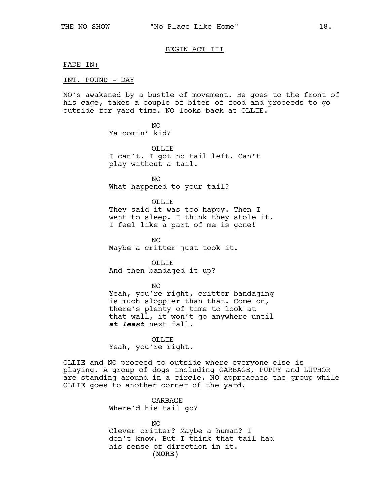# BEGIN ACT III

#### FADE IN:

### INT. POUND - DAY

NO's awakened by a bustle of movement. He goes to the front of his cage, takes a couple of bites of food and proceeds to go outside for yard time. NO looks back at OLLIE.

> NO Ya comin' kid?

OLLIF. I can't. I got no tail left. Can't play without a tail.

NO What happened to your tail?

OLLIE They said it was too happy. Then I went to sleep. I think they stole it. I feel like a part of me is gone!

 $N<sub>O</sub>$ Maybe a critter just took it.

OLLIE And then bandaged it up?

 $N<sub>O</sub>$ Yeah, you're right, critter bandaging is much sloppier than that. Come on, there's plenty of time to look at that wall, it won't go anywhere until *at least* next fall.

> OLLIE Yeah, you're right.

OLLIE and NO proceed to outside where everyone else is playing. A group of dogs including GARBAGE, PUPPY and LUTHOR are standing around in a circle. NO approaches the group while OLLIE goes to another corner of the yard.

> GARBAGE Where'd his tail go?

(MORE) NO Clever critter? Maybe a human? I don't know. But I think that tail had his sense of direction in it.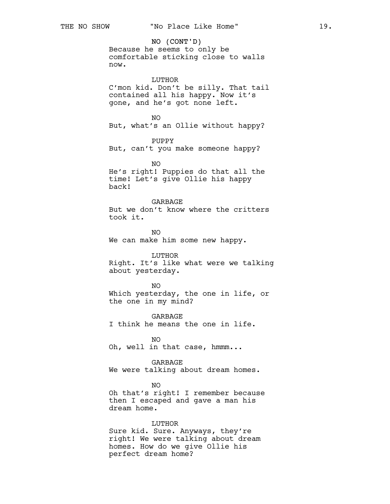NO (CONT'D) Because he seems to only be comfortable sticking close to walls now.

LUTHOR C'mon kid. Don't be silly. That tail contained all his happy. Now it's gone, and he's got none left.

NO But, what's an Ollie without happy?

PUPPY But, can't you make someone happy?

NO He's right! Puppies do that all the time! Let's give Ollie his happy back!

**GARBAGE** But we don't know where the critters took it.

NO We can make him some new happy.

LUTHOR Right. It's like what were we talking about yesterday.

NO Which yesterday, the one in life, or the one in my mind?

GARBAGE I think he means the one in life.

NO Oh, well in that case, hmmm...

GARBAGE We were talking about dream homes.

NO

Oh that's right! I remember because then I escaped and gave a man his dream home.

LUTHOR

Sure kid. Sure. Anyways, they're right! We were talking about dream homes. How do we give Ollie his perfect dream home?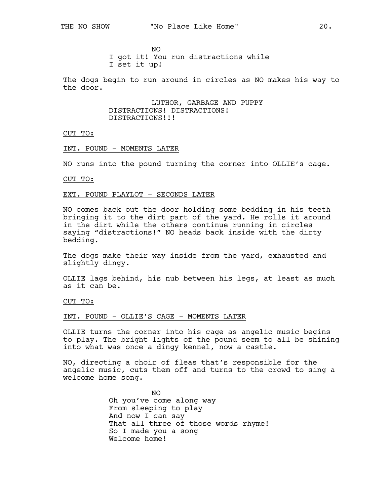NO I got it! You run distractions while I set it up!

The dogs begin to run around in circles as NO makes his way to the door.

> LUTHOR, GARBAGE AND PUPPY DISTRACTIONS! DISTRACTIONS! DISTRACTIONS!!!

CUT TO:

INT. POUND - MOMENTS LATER

NO runs into the pound turning the corner into OLLIE's cage.

CUT TO:

#### EXT. POUND PLAYLOT - SECONDS LATER

NO comes back out the door holding some bedding in his teeth bringing it to the dirt part of the yard. He rolls it around in the dirt while the others continue running in circles saying "distractions!" NO heads back inside with the dirty bedding.

The dogs make their way inside from the yard, exhausted and slightly dingy.

OLLIE lags behind, his nub between his legs, at least as much as it can be.

CUT TO:

### INT. POUND - OLLIE'S CAGE - MOMENTS LATER

OLLIE turns the corner into his cage as angelic music begins to play. The bright lights of the pound seem to all be shining into what was once a dingy kennel, now a castle.

NO, directing a choir of fleas that's responsible for the angelic music, cuts them off and turns to the crowd to sing a welcome home song.

> NO Oh you've come along way From sleeping to play And now I can say That all three of those words rhyme! So I made you a song Welcome home!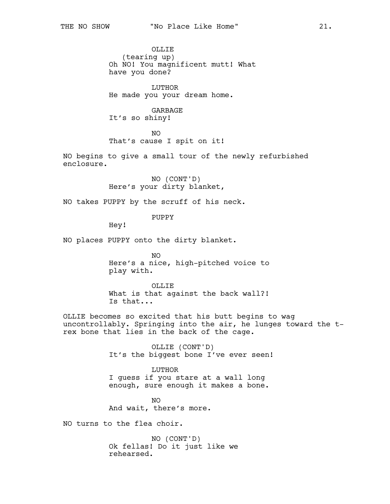OLLIE (tearing up) Oh NO! You magnificent mutt! What have you done?

LUTHOR He made you your dream home.

GARBAGE It's so shiny!

NO That's cause I spit on it!

NO begins to give a small tour of the newly refurbished enclosure.

> NO (CONT'D) Here's your dirty blanket,

NO takes PUPPY by the scruff of his neck.

PUPPY

Hey!

NO places PUPPY onto the dirty blanket.

 $N<sub>O</sub>$ Here's a nice, high-pitched voice to play with.

OLLIE What is that against the back wall?! Is that...

OLLIE becomes so excited that his butt begins to wag uncontrollably. Springing into the air, he lunges toward the trex bone that lies in the back of the cage.

> OLLIE (CONT'D) It's the biggest bone I've ever seen!

LUTHOR I guess if you stare at a wall long enough, sure enough it makes a bone.

NO And wait, there's more.

NO turns to the flea choir.

NO (CONT'D) Ok fellas! Do it just like we rehearsed.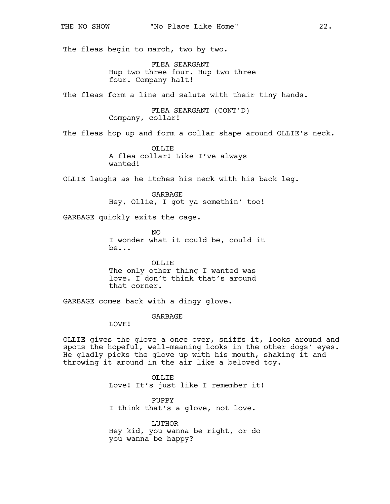The fleas begin to march, two by two.

FLEA SEARGANT Hup two three four. Hup two three four. Company halt!

The fleas form a line and salute with their tiny hands.

FLEA SEARGANT (CONT'D) Company, collar!

The fleas hop up and form a collar shape around OLLIE's neck.

OLLIF. A flea collar! Like I've always wanted!

OLLIE laughs as he itches his neck with his back leg.

GARBAGE Hey, Ollie, I got ya somethin' too!

GARBAGE quickly exits the cage.

NO I wonder what it could be, could it be...

OLLIE The only other thing I wanted was love. I don't think that's around that corner.

GARBAGE comes back with a dingy glove.

# GARBAGE

LOVE!

OLLIE gives the glove a once over, sniffs it, looks around and spots the hopeful, well-meaning looks in the other dogs' eyes. He gladly picks the glove up with his mouth, shaking it and throwing it around in the air like a beloved toy.

> OLLIE Love! It's just like I remember it!

PUPPY I think that's a glove, not love.

LUTHOR Hey kid, you wanna be right, or do you wanna be happy?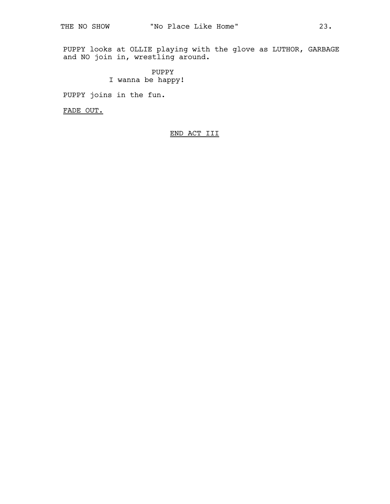PUPPY looks at OLLIE playing with the glove as LUTHOR, GARBAGE and NO join in, wrestling around.

> PUPPY I wanna be happy!

PUPPY joins in the fun.

FADE OUT.

END ACT III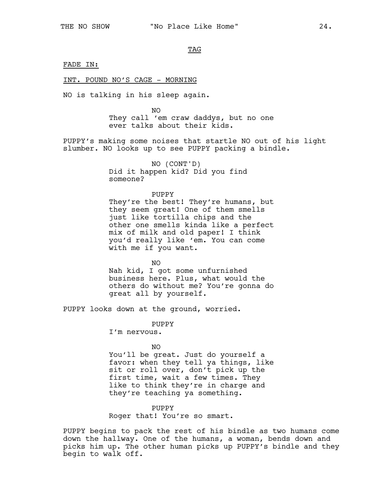### TAG

### FADE IN:

### INT. POUND NO'S CAGE - MORNING

NO is talking in his sleep again.

NO They call 'em craw daddys, but no one ever talks about their kids.

PUPPY's making some noises that startle NO out of his light slumber. NO looks up to see PUPPY packing a bindle.

> NO (CONT'D) Did it happen kid? Did you find someone?

# PUPPY

They're the best! They're humans, but they seem great! One of them smells just like tortilla chips and the other one smells kinda like a perfect mix of milk and old paper! I think you'd really like 'em. You can come with me if you want.

NO Nah kid, I got some unfurnished business here. Plus, what would the others do without me? You're gonna do great all by yourself.

PUPPY looks down at the ground, worried.

PUPPY I'm nervous.

NO

You'll be great. Just do yourself a favor: when they tell ya things, like sit or roll over, don't pick up the first time, wait a few times. They like to think they're in charge and they're teaching ya something.

PUPPY Roger that! You're so smart.

PUPPY begins to pack the rest of his bindle as two humans come down the hallway. One of the humans, a woman, bends down and picks him up. The other human picks up PUPPY's bindle and they begin to walk off.